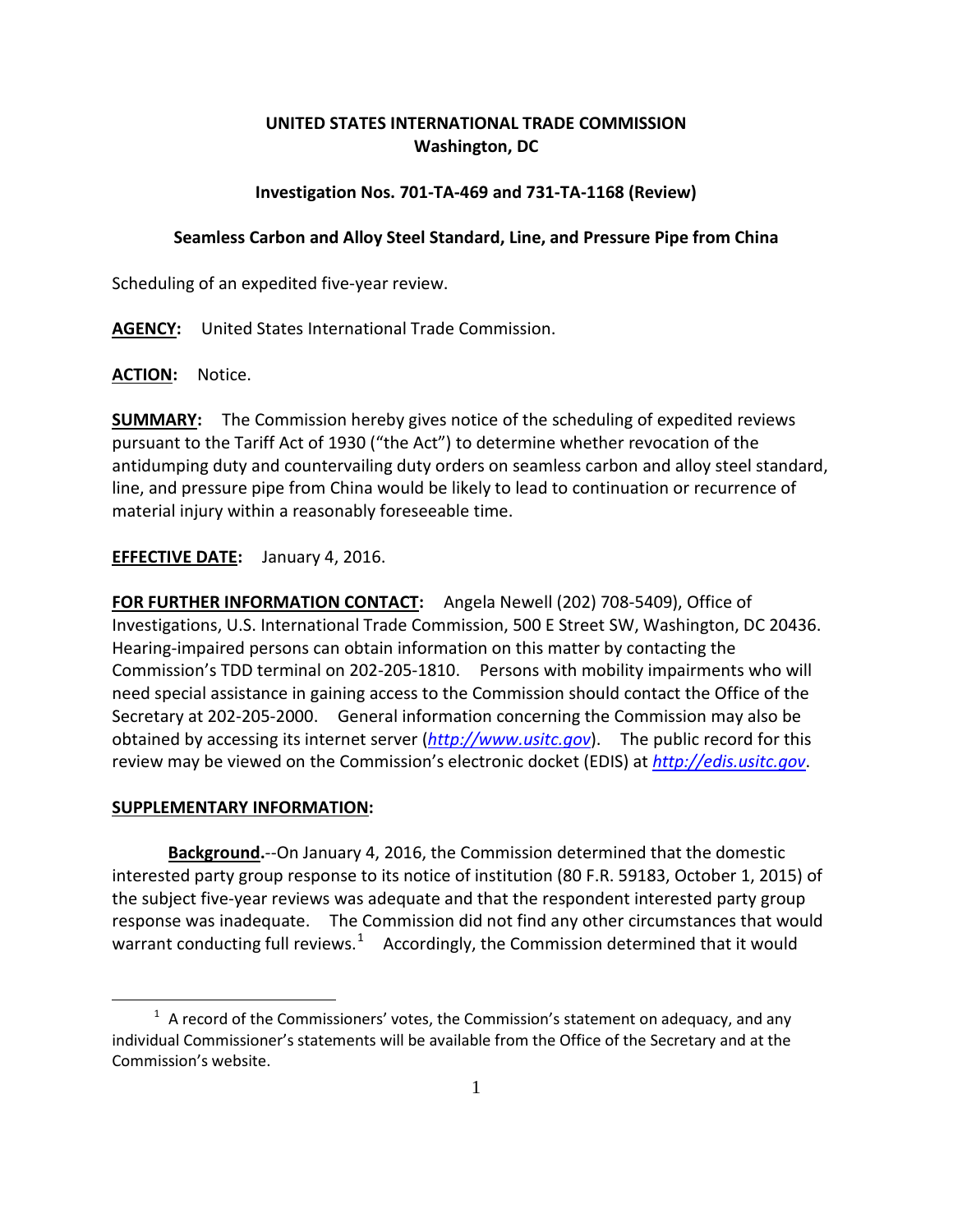# **UNITED STATES INTERNATIONAL TRADE COMMISSION Washington, DC**

### **Investigation Nos. 701-TA-469 and 731-TA-1168 (Review)**

#### **Seamless Carbon and Alloy Steel Standard, Line, and Pressure Pipe from China**

Scheduling of an expedited five-year review.

**AGENCY:** United States International Trade Commission.

**ACTION:** Notice.

**SUMMARY:** The Commission hereby gives notice of the scheduling of expedited reviews pursuant to the Tariff Act of 1930 ("the Act") to determine whether revocation of the antidumping duty and countervailing duty orders on seamless carbon and alloy steel standard, line, and pressure pipe from China would be likely to lead to continuation or recurrence of material injury within a reasonably foreseeable time.

## **EFFECTIVE DATE:** January 4, 2016.

**FOR FURTHER INFORMATION CONTACT:** Angela Newell (202) 708-5409), Office of Investigations, U.S. International Trade Commission, 500 E Street SW, Washington, DC 20436. Hearing-impaired persons can obtain information on this matter by contacting the Commission's TDD terminal on 202-205-1810. Persons with mobility impairments who will need special assistance in gaining access to the Commission should contact the Office of the Secretary at 202-205-2000. General information concerning the Commission may also be obtained by accessing its internet server (*[http://www.usitc.gov](http://www.usitc.gov/)*). The public record for this review may be viewed on the Commission's electronic docket (EDIS) at *[http://edis.usitc.gov](http://edis.usitc.gov/)*.

## **SUPPLEMENTARY INFORMATION:**

 $\overline{a}$ 

**Background.**--On January 4, 2016, the Commission determined that the domestic interested party group response to its notice of institution (80 F.R. 59183, October 1, 2015) of the subject five-year reviews was adequate and that the respondent interested party group response was inadequate. The Commission did not find any other circumstances that would warrant conducting full reviews.<sup>[1](#page-0-0)</sup> Accordingly, the Commission determined that it would

<span id="page-0-0"></span> $1$  A record of the Commissioners' votes, the Commission's statement on adequacy, and any individual Commissioner's statements will be available from the Office of the Secretary and at the Commission's website.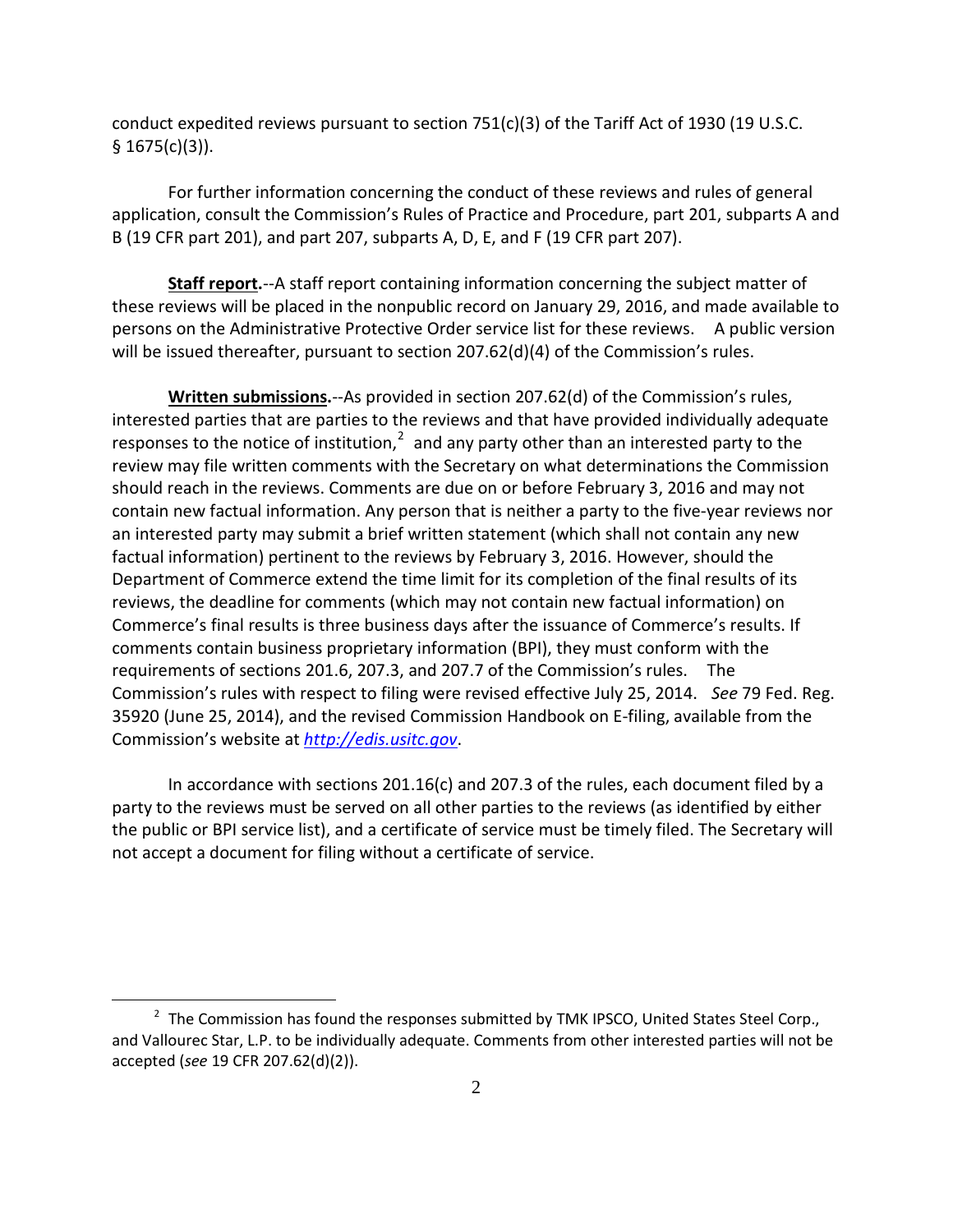conduct expedited reviews pursuant to section  $751(c)(3)$  of the Tariff Act of 1930 (19 U.S.C.  $§ 1675(c)(3)$ ).

For further information concerning the conduct of these reviews and rules of general application, consult the Commission's Rules of Practice and Procedure, part 201, subparts A and B (19 CFR part 201), and part 207, subparts A, D, E, and F (19 CFR part 207).

**Staff report.**--A staff report containing information concerning the subject matter of these reviews will be placed in the nonpublic record on January 29, 2016, and made available to persons on the Administrative Protective Order service list for these reviews. A public version will be issued thereafter, pursuant to section 207.62(d)(4) of the Commission's rules.

**Written submissions.**--As provided in section 207.62(d) of the Commission's rules, interested parties that are parties to the reviews and that have provided individually adequate responses to the notice of institution, $2$  and any party other than an interested party to the review may file written comments with the Secretary on what determinations the Commission should reach in the reviews. Comments are due on or before February 3, 2016 and may not contain new factual information. Any person that is neither a party to the five-year reviews nor an interested party may submit a brief written statement (which shall not contain any new factual information) pertinent to the reviews by February 3, 2016. However, should the Department of Commerce extend the time limit for its completion of the final results of its reviews, the deadline for comments (which may not contain new factual information) on Commerce's final results is three business days after the issuance of Commerce's results. If comments contain business proprietary information (BPI), they must conform with the requirements of sections 201.6, 207.3, and 207.7 of the Commission's rules. The Commission's rules with respect to filing were revised effective July 25, 2014. *See* 79 Fed. Reg. 35920 (June 25, 2014), and the revised Commission Handbook on E-filing, available from the Commission's website at *[http://edis.usitc.gov](http://edis.usitc.gov/)*.

In accordance with sections 201.16(c) and 207.3 of the rules, each document filed by a party to the reviews must be served on all other parties to the reviews (as identified by either the public or BPI service list), and a certificate of service must be timely filed. The Secretary will not accept a document for filing without a certificate of service.

 $\overline{a}$ 

<span id="page-1-0"></span> $2$  The Commission has found the responses submitted by TMK IPSCO, United States Steel Corp., and Vallourec Star, L.P. to be individually adequate. Comments from other interested parties will not be accepted (*see* 19 CFR 207.62(d)(2)).